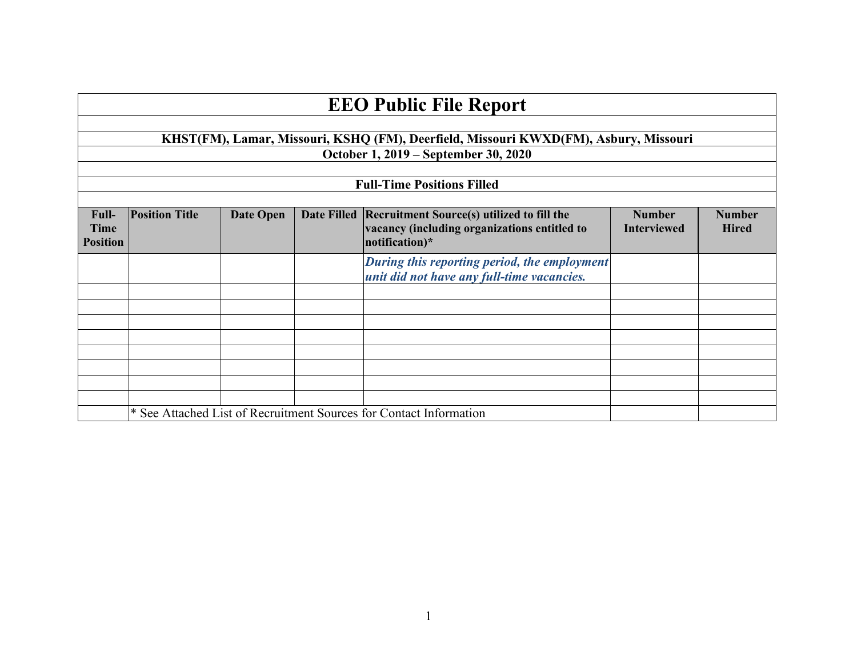| <b>EEO Public File Report</b>    |                                                                                      |           |                    |                                                                                                                     |                                     |                               |  |
|----------------------------------|--------------------------------------------------------------------------------------|-----------|--------------------|---------------------------------------------------------------------------------------------------------------------|-------------------------------------|-------------------------------|--|
|                                  |                                                                                      |           |                    |                                                                                                                     |                                     |                               |  |
|                                  | KHST(FM), Lamar, Missouri, KSHQ (FM), Deerfield, Missouri KWXD(FM), Asbury, Missouri |           |                    |                                                                                                                     |                                     |                               |  |
|                                  | October 1, 2019 – September 30, 2020                                                 |           |                    |                                                                                                                     |                                     |                               |  |
|                                  |                                                                                      |           |                    |                                                                                                                     |                                     |                               |  |
|                                  |                                                                                      |           |                    | <b>Full-Time Positions Filled</b>                                                                                   |                                     |                               |  |
|                                  |                                                                                      |           |                    |                                                                                                                     |                                     |                               |  |
| Full-<br>Time<br><b>Position</b> | <b>Position Title</b>                                                                | Date Open | <b>Date Filled</b> | <b>Recruitment Source(s) utilized to fill the</b><br>vacancy (including organizations entitled to<br>notification)* | <b>Number</b><br><b>Interviewed</b> | <b>Number</b><br><b>Hired</b> |  |
|                                  |                                                                                      |           |                    | During this reporting period, the employment<br>unit did not have any full-time vacancies.                          |                                     |                               |  |
|                                  |                                                                                      |           |                    |                                                                                                                     |                                     |                               |  |
|                                  |                                                                                      |           |                    |                                                                                                                     |                                     |                               |  |
|                                  |                                                                                      |           |                    |                                                                                                                     |                                     |                               |  |
|                                  |                                                                                      |           |                    |                                                                                                                     |                                     |                               |  |
|                                  |                                                                                      |           |                    |                                                                                                                     |                                     |                               |  |
|                                  |                                                                                      |           |                    |                                                                                                                     |                                     |                               |  |
|                                  |                                                                                      |           |                    |                                                                                                                     |                                     |                               |  |
|                                  |                                                                                      |           |                    |                                                                                                                     |                                     |                               |  |
|                                  | * See Attached List of Recruitment Sources for Contact Information                   |           |                    |                                                                                                                     |                                     |                               |  |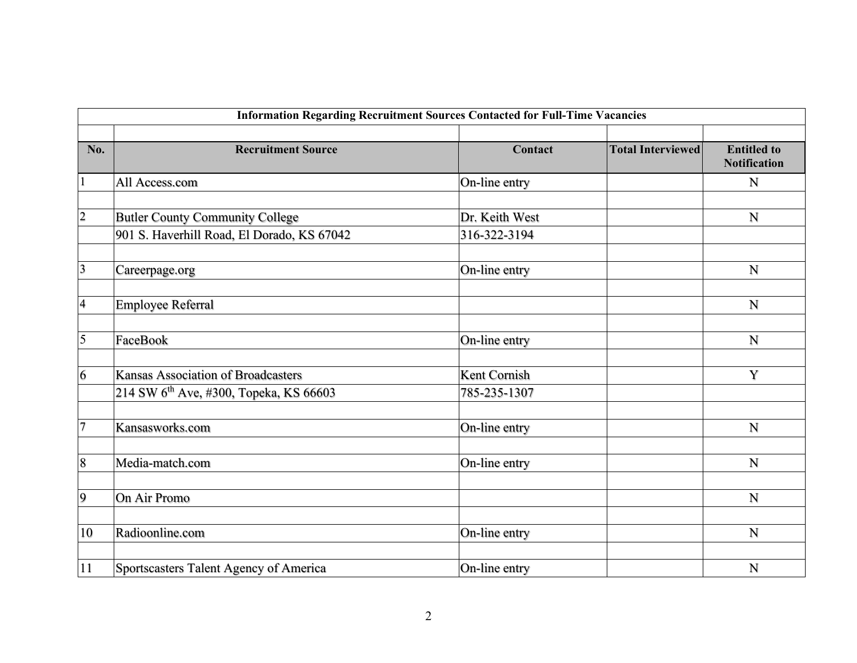| <b>Information Regarding Recruitment Sources Contacted for Full-Time Vacancies</b> |                                                                                                 |                                |                          |                                           |  |  |
|------------------------------------------------------------------------------------|-------------------------------------------------------------------------------------------------|--------------------------------|--------------------------|-------------------------------------------|--|--|
| No.                                                                                | <b>Recruitment Source</b>                                                                       | Contact                        | <b>Total Interviewed</b> | <b>Entitled to</b><br><b>Notification</b> |  |  |
| $\mathbf{1}$                                                                       | All Access.com                                                                                  | On-line entry                  |                          | $\mathbf N$                               |  |  |
| $\overline{2}$                                                                     | <b>Butler County Community College</b><br>901 S. Haverhill Road, El Dorado, KS 67042            | Dr. Keith West<br>316-322-3194 |                          | N                                         |  |  |
| $\overline{\mathbf{3}}$                                                            | Careerpage.org                                                                                  | On-line entry                  |                          | N                                         |  |  |
| $\overline{\mathbf{4}}$                                                            | <b>Employee Referral</b>                                                                        |                                |                          | N                                         |  |  |
| $\overline{5}$                                                                     | FaceBook                                                                                        | On-line entry                  |                          | $\mathbf N$                               |  |  |
| 6                                                                                  | <b>Kansas Association of Broadcasters</b><br>214 SW 6 <sup>th</sup> Ave, #300, Topeka, KS 66603 | Kent Cornish<br>785-235-1307   |                          | Y                                         |  |  |
| $\overline{7}$                                                                     | Kansasworks.com                                                                                 | On-line entry                  |                          | ${\bf N}$                                 |  |  |
| 8                                                                                  | Media-match.com                                                                                 | On-line entry                  |                          | N                                         |  |  |
| $\overline{9}$                                                                     | On Air Promo                                                                                    |                                |                          | N                                         |  |  |
| 10                                                                                 | Radioonline.com                                                                                 | On-line entry                  |                          | $\mathbf N$                               |  |  |
| 11                                                                                 | Sportscasters Talent Agency of America                                                          | On-line entry                  |                          | N                                         |  |  |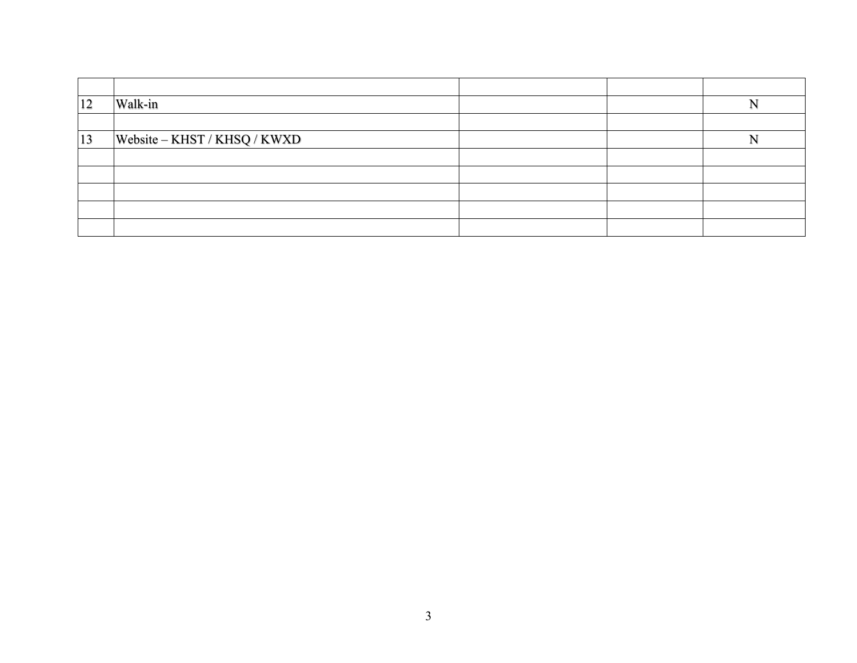| 12 | Walk-in                      |  |  |
|----|------------------------------|--|--|
|    |                              |  |  |
| 13 | Website - KHST / KHSQ / KWXD |  |  |
|    |                              |  |  |
|    |                              |  |  |
|    |                              |  |  |
|    |                              |  |  |
|    |                              |  |  |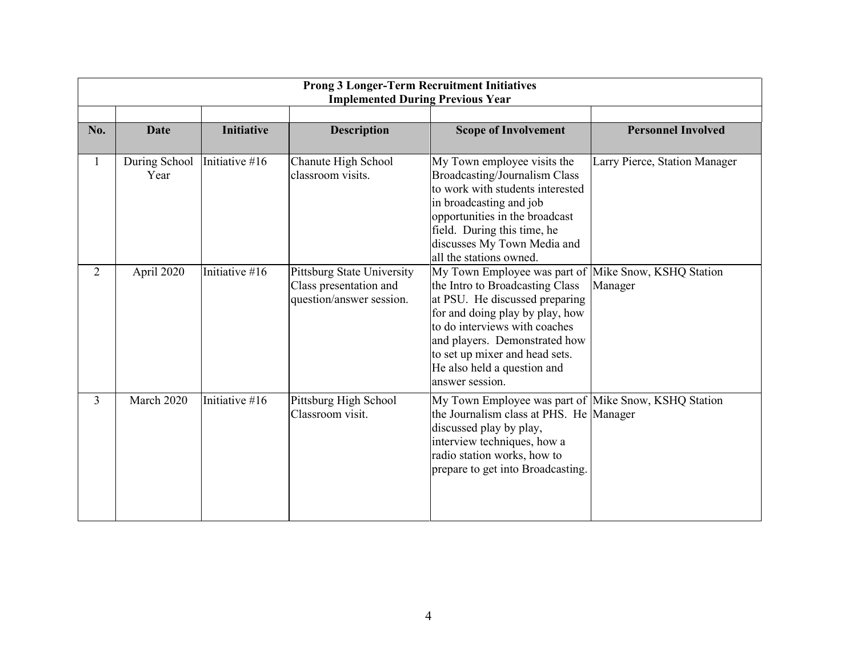| <b>Prong 3 Longer-Term Recruitment Initiatives</b><br><b>Implemented During Previous Year</b> |                       |                   |                                                                                  |                                                                                                                                                                                                                                                                                                                    |                               |  |
|-----------------------------------------------------------------------------------------------|-----------------------|-------------------|----------------------------------------------------------------------------------|--------------------------------------------------------------------------------------------------------------------------------------------------------------------------------------------------------------------------------------------------------------------------------------------------------------------|-------------------------------|--|
| No.                                                                                           | <b>Date</b>           | <b>Initiative</b> | <b>Description</b>                                                               | <b>Scope of Involvement</b>                                                                                                                                                                                                                                                                                        | <b>Personnel Involved</b>     |  |
| 1                                                                                             | During School<br>Year | Initiative #16    | Chanute High School<br>classroom visits.                                         | My Town employee visits the<br>Broadcasting/Journalism Class<br>to work with students interested<br>in broadcasting and job<br>opportunities in the broadcast<br>field. During this time, he<br>discusses My Town Media and<br>all the stations owned.                                                             | Larry Pierce, Station Manager |  |
| $\overline{2}$                                                                                | April 2020            | Initiative #16    | Pittsburg State University<br>Class presentation and<br>question/answer session. | My Town Employee was part of Mike Snow, KSHQ Station<br>the Intro to Broadcasting Class<br>at PSU. He discussed preparing<br>for and doing play by play, how<br>to do interviews with coaches<br>and players. Demonstrated how<br>to set up mixer and head sets.<br>He also held a question and<br>answer session. | Manager                       |  |
| $\overline{3}$                                                                                | March 2020            | Initiative #16    | Pittsburg High School<br>Classroom visit.                                        | My Town Employee was part of  Mike Snow, KSHQ Station<br>the Journalism class at PHS. He Manager<br>discussed play by play,<br>interview techniques, how a<br>radio station works, how to<br>prepare to get into Broadcasting.                                                                                     |                               |  |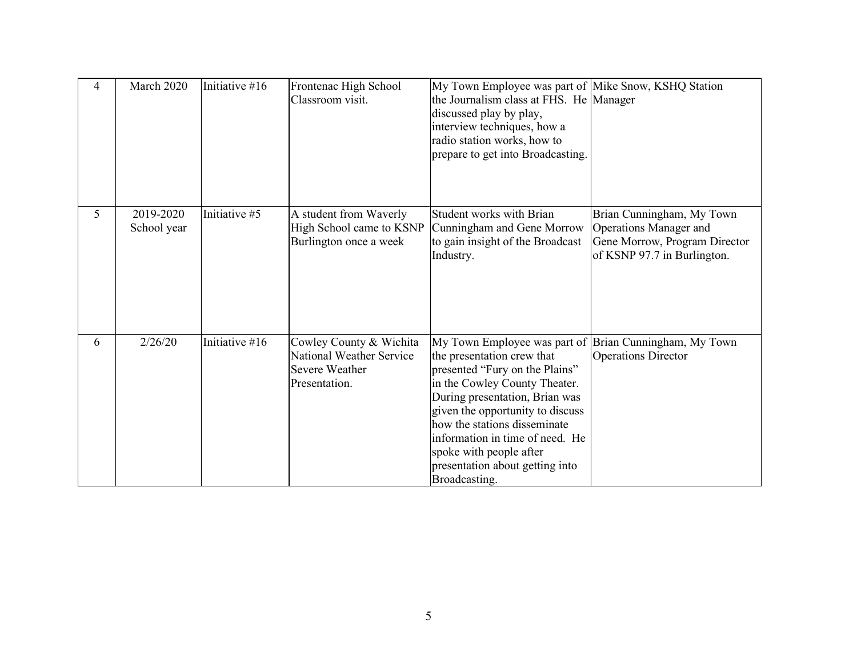| 4 | March 2020               | Initiative #16 | Frontenac High School<br>Classroom visit.                                              | My Town Employee was part of Mike Snow, KSHQ Station<br>the Journalism class at FHS. He Manager<br>discussed play by play,<br>interview techniques, how a<br>radio station works, how to<br>prepare to get into Broadcasting.                                                                                                                                                   |                                                                                                                     |
|---|--------------------------|----------------|----------------------------------------------------------------------------------------|---------------------------------------------------------------------------------------------------------------------------------------------------------------------------------------------------------------------------------------------------------------------------------------------------------------------------------------------------------------------------------|---------------------------------------------------------------------------------------------------------------------|
| 5 | 2019-2020<br>School year | Initiative #5  | A student from Waverly<br>High School came to KSNP<br>Burlington once a week           | Student works with Brian<br>Cunningham and Gene Morrow<br>to gain insight of the Broadcast<br>Industry.                                                                                                                                                                                                                                                                         | Brian Cunningham, My Town<br>Operations Manager and<br>Gene Morrow, Program Director<br>of KSNP 97.7 in Burlington. |
| 6 | 2/26/20                  | Initiative #16 | Cowley County & Wichita<br>National Weather Service<br>Severe Weather<br>Presentation. | My Town Employee was part of Brian Cunningham, My Town<br>the presentation crew that<br>presented "Fury on the Plains"<br>in the Cowley County Theater.<br>During presentation, Brian was<br>given the opportunity to discuss<br>how the stations disseminate<br>information in time of need. He<br>spoke with people after<br>presentation about getting into<br>Broadcasting. | <b>Operations Director</b>                                                                                          |